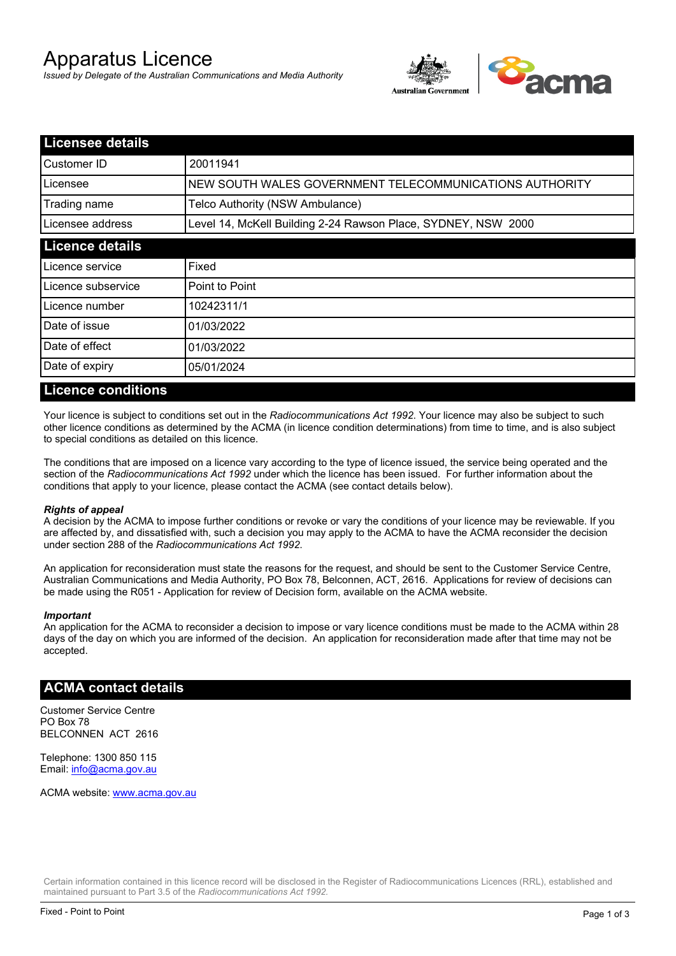# Apparatus Licence

*Issued by Delegate of the Australian Communications and Media Authority*



| <b>Licensee details</b> |                                                               |  |
|-------------------------|---------------------------------------------------------------|--|
| Customer ID             | 20011941                                                      |  |
| Licensee                | NEW SOUTH WALES GOVERNMENT TELECOMMUNICATIONS AUTHORITY       |  |
| Trading name            | Telco Authority (NSW Ambulance)                               |  |
| Licensee address        | Level 14, McKell Building 2-24 Rawson Place, SYDNEY, NSW 2000 |  |
| <b>Licence details</b>  |                                                               |  |
| Licence service         | Fixed                                                         |  |
| l Licence subservice    | Point to Point                                                |  |
| l Licence number        | 10242311/1                                                    |  |
| Date of issue           | 01/03/2022                                                    |  |
| Date of effect          | 01/03/2022                                                    |  |
| Date of expiry          | 05/01/2024                                                    |  |

#### **Licence conditions**

Your licence is subject to conditions set out in the *Radiocommunications Act 1992*. Your licence may also be subject to such other licence conditions as determined by the ACMA (in licence condition determinations) from time to time, and is also subject to special conditions as detailed on this licence.

The conditions that are imposed on a licence vary according to the type of licence issued, the service being operated and the section of the *Radiocommunications Act 1992* under which the licence has been issued. For further information about the conditions that apply to your licence, please contact the ACMA (see contact details below).

#### *Rights of appeal*

A decision by the ACMA to impose further conditions or revoke or vary the conditions of your licence may be reviewable. If you are affected by, and dissatisfied with, such a decision you may apply to the ACMA to have the ACMA reconsider the decision under section 288 of the *Radiocommunications Act 1992*.

An application for reconsideration must state the reasons for the request, and should be sent to the Customer Service Centre, Australian Communications and Media Authority, PO Box 78, Belconnen, ACT, 2616. Applications for review of decisions can be made using the R051 - Application for review of Decision form, available on the ACMA website.

#### *Important*

An application for the ACMA to reconsider a decision to impose or vary licence conditions must be made to the ACMA within 28 days of the day on which you are informed of the decision. An application for reconsideration made after that time may not be accepted.

#### **ACMA contact details**

Customer Service Centre PO Box 78 BELCONNEN ACT 2616

Telephone: 1300 850 115 Email: info@acma.gov.au

ACMA website: www.acma.gov.au

Certain information contained in this licence record will be disclosed in the Register of Radiocommunications Licences (RRL), established and maintained pursuant to Part 3.5 of the *Radiocommunications Act 1992.*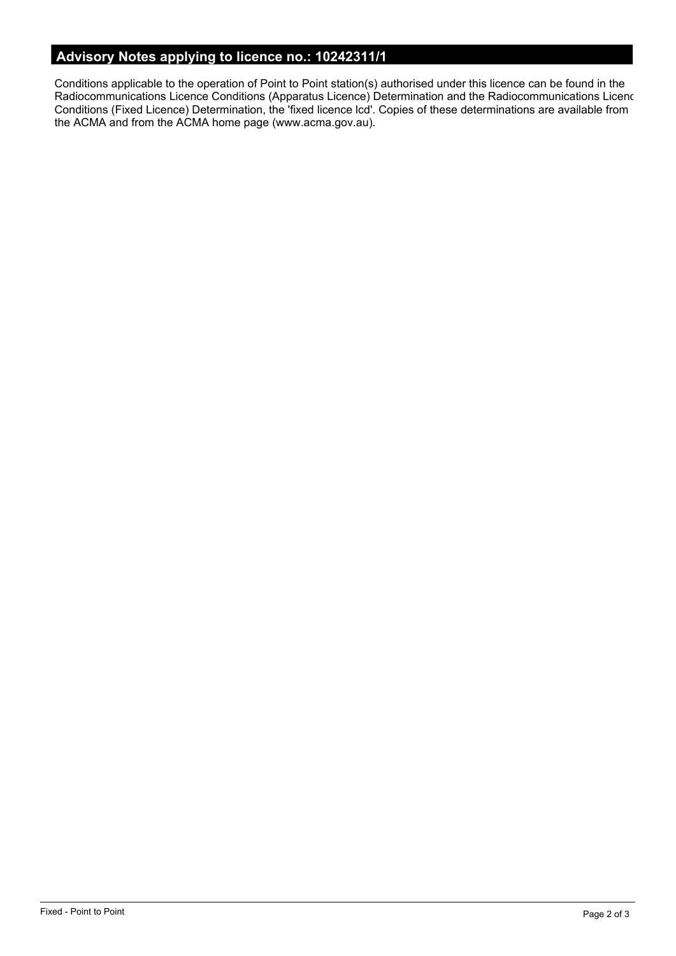# **Advisory Notes applying to licence no.: 10242311/1**

Conditions applicable to the operation of Point to Point station(s) authorised under this licence can be found in the Radiocommunications Licence Conditions (Apparatus Licence) Determination and the Radiocommunications Licence Conditions (Fixed Licence) Determination, the 'fixed licence lcd'. Copies of these determinations are available from the ACMA and from the ACMA home page (www.acma.gov.au).